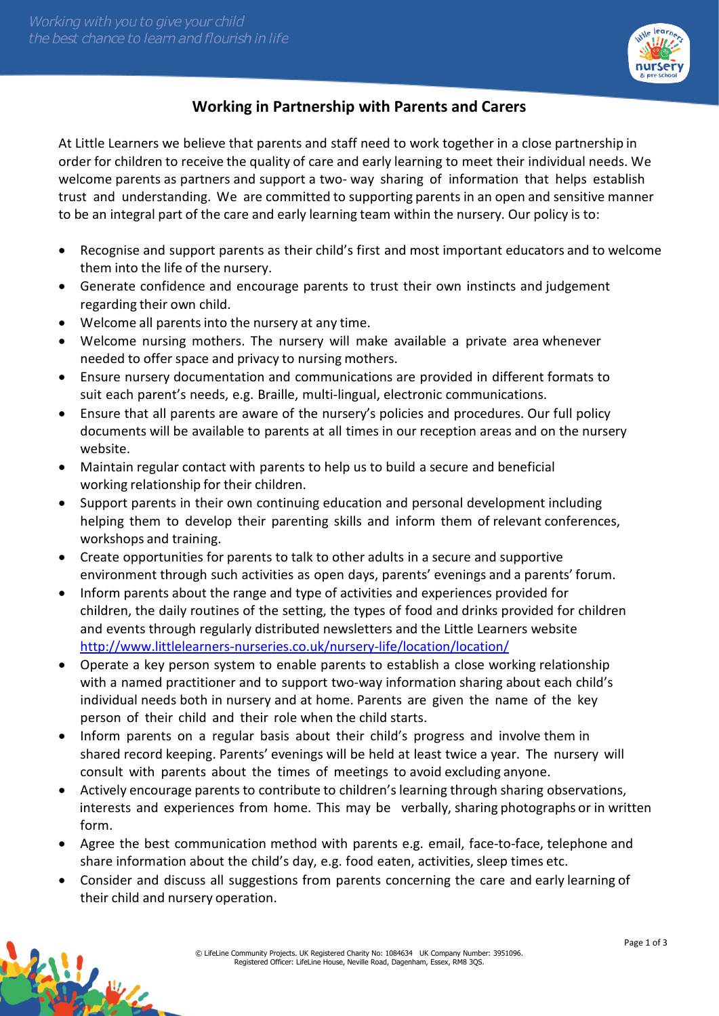

## **Working in Partnership with Parents and Carers**

At Little Learners we believe that parents and staff need to work together in a close partnership in order for children to receive the quality of care and early learning to meet their individual needs. We welcome parents as partners and support a two- way sharing of information that helps establish trust and understanding. We are committed to supporting parents in an open and sensitive manner to be an integral part of the care and early learning team within the nursery. Our policy is to:

- Recognise and support parents as their child's first and most important educators and to welcome them into the life of the nursery.
- Generate confidence and encourage parents to trust their own instincts and judgement regarding their own child.
- Welcome all parents into the nursery at any time.
- Welcome nursing mothers. The nursery will make available a private area whenever needed to offer space and privacy to nursing mothers.
- Ensure nursery documentation and communications are provided in different formats to suit each parent's needs, e.g. Braille, multi-lingual, electronic communications.
- Ensure that all parents are aware of the nursery's policies and procedures. Our full policy documents will be available to parents at all times in our reception areas and on the nursery website.
- Maintain regular contact with parents to help us to build a secure and beneficial working relationship for their children.
- Support parents in their own continuing education and personal development including helping them to develop their parenting skills and inform them of relevant conferences, workshops and training.
- Create opportunities for parents to talk to other adults in a secure and supportive environment through such activities as open days, parents' evenings and a parents' forum.
- Inform parents about the range and type of activities and experiences provided for children, the daily routines of the setting, the types of food and drinks provided for children and events through regularly distributed newsletters and the Little Learners website <http://www.littlelearners-nurseries.co.uk/nursery-life/location/location/>
- Operate a key person system to enable parents to establish a close working relationship with a named practitioner and to support two-way information sharing about each child's individual needs both in nursery and at home. Parents are given the name of the key person of their child and their role when the child starts.
- Inform parents on a regular basis about their child's progress and involve them in shared record keeping. Parents' evenings will be held at least twice a year. The nursery will consult with parents about the times of meetings to avoid excluding anyone.
- Actively encourage parents to contribute to children's learning through sharing observations, interests and experiences from home. This may be verbally, sharing photographs or in written form.
- Agree the best communication method with parents e.g. email, face-to-face, telephone and share information about the child's day, e.g. food eaten, activities, sleep times etc.
- Consider and discuss all suggestions from parents concerning the care and early learning of their child and nursery operation.

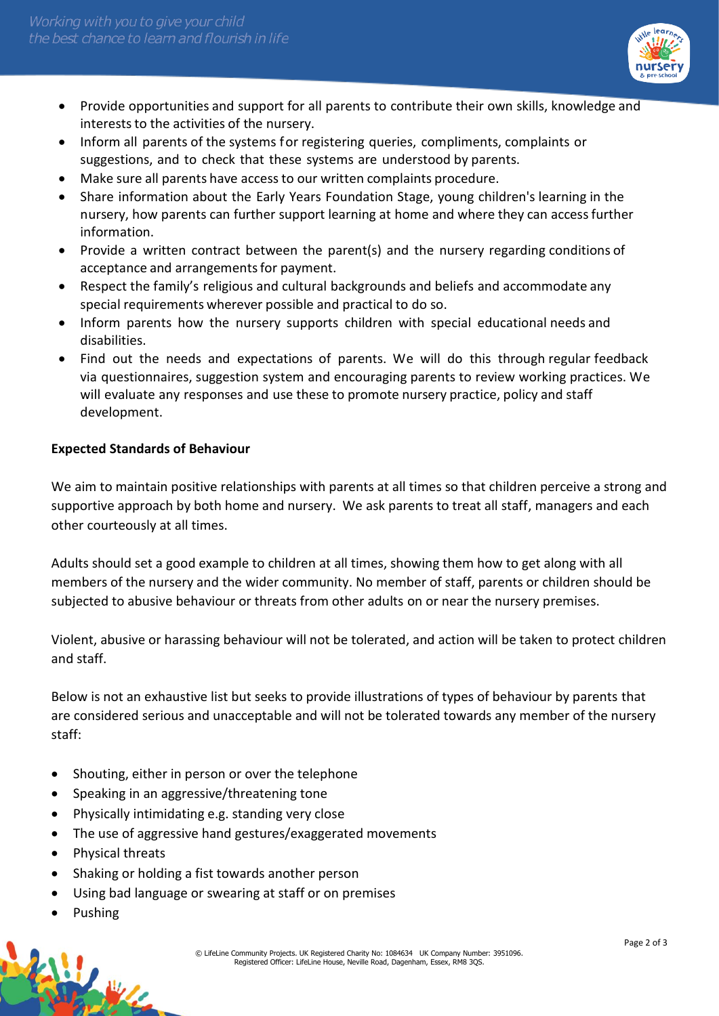

- Provide opportunities and support for all parents to contribute their own skills, knowledge and interests to the activities of the nursery.
- Inform all parents of the systems for registering queries, compliments, complaints or suggestions, and to check that these systems are understood by parents.
- Make sure all parents have accessto our written complaints procedure.
- Share information about the Early Years Foundation Stage, young children's learning in the nursery, how parents can further support learning at home and where they can accessfurther information.
- Provide a written contract between the parent(s) and the nursery regarding conditions of acceptance and arrangements for payment.
- Respect the family's religious and cultural backgrounds and beliefs and accommodate any special requirements wherever possible and practical to do so.
- Inform parents how the nursery supports children with special educational needs and disabilities.
- Find out the needs and expectations of parents. We will do this through regular feedback via questionnaires, suggestion system and encouraging parents to review working practices. We will evaluate any responses and use these to promote nursery practice, policy and staff development.

## **Expected Standards of Behaviour**

We aim to maintain positive relationships with parents at all times so that children perceive a strong and supportive approach by both home and nursery. We ask parents to treat all staff, managers and each other courteously at all times.

Adults should set a good example to children at all times, showing them how to get along with all members of the nursery and the wider community. No member of staff, parents or children should be subjected to abusive behaviour or threats from other adults on or near the nursery premises.

Violent, abusive or harassing behaviour will not be tolerated, and action will be taken to protect children and staff.

Below is not an exhaustive list but seeks to provide illustrations of types of behaviour by parents that are considered serious and unacceptable and will not be tolerated towards any member of the nursery staff:

- Shouting, either in person or over the telephone
- Speaking in an aggressive/threatening tone
- Physically intimidating e.g. standing very close
- The use of aggressive hand gestures/exaggerated movements
- Physical threats
- Shaking or holding a fist towards another person
- Using bad language or swearing at staff or on premises
- Pushing